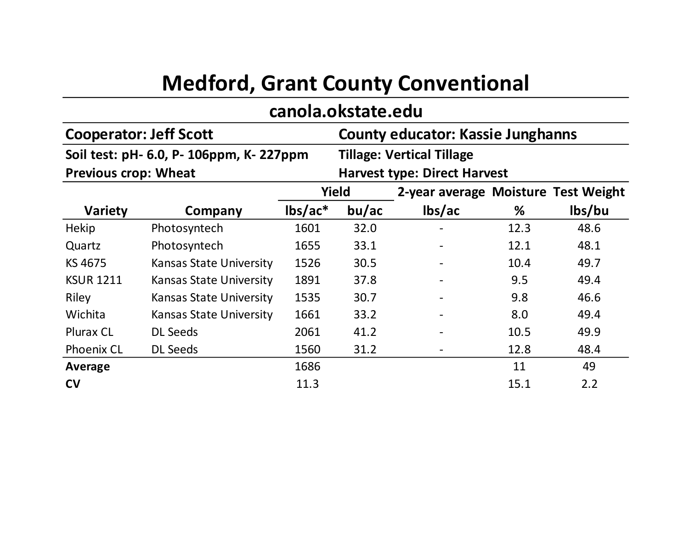## **Medford, Grant County Conventional**

## **canola.okstate.edu**

|                             | <b>Cooperator: Jeff Scott</b>            | <b>County educator: Kassie Junghanns</b><br><b>Tillage: Vertical Tillage</b><br><b>Harvest type: Direct Harvest</b> |       |                                     |      |        |
|-----------------------------|------------------------------------------|---------------------------------------------------------------------------------------------------------------------|-------|-------------------------------------|------|--------|
|                             | Soil test: pH- 6.0, P- 106ppm, K- 227ppm |                                                                                                                     |       |                                     |      |        |
| <b>Previous crop: Wheat</b> |                                          |                                                                                                                     |       |                                     |      |        |
|                             |                                          | Yield                                                                                                               |       | 2-year average Moisture Test Weight |      |        |
| <b>Variety</b>              | Company                                  | $\text{lbs}/\text{ac}^*$                                                                                            | bu/ac | lbs/ac                              | ℅    | lbs/bu |
| Hekip                       | Photosyntech                             | 1601                                                                                                                | 32.0  |                                     | 12.3 | 48.6   |
| Quartz                      | Photosyntech                             | 1655                                                                                                                | 33.1  |                                     | 12.1 | 48.1   |
| KS 4675                     | <b>Kansas State University</b>           | 1526                                                                                                                | 30.5  |                                     | 10.4 | 49.7   |
| <b>KSUR 1211</b>            | <b>Kansas State University</b>           | 1891                                                                                                                | 37.8  |                                     | 9.5  | 49.4   |
| Riley                       | <b>Kansas State University</b>           | 1535                                                                                                                | 30.7  |                                     | 9.8  | 46.6   |
| Wichita                     | <b>Kansas State University</b>           | 1661                                                                                                                | 33.2  |                                     | 8.0  | 49.4   |
| <b>Plurax CL</b>            | <b>DL Seeds</b>                          | 2061                                                                                                                | 41.2  |                                     | 10.5 | 49.9   |
| <b>Phoenix CL</b>           | <b>DL Seeds</b>                          | 1560                                                                                                                | 31.2  |                                     | 12.8 | 48.4   |
| Average                     |                                          | 1686                                                                                                                |       |                                     | 11   | 49     |
| CV                          |                                          | 11.3                                                                                                                |       |                                     | 15.1 | 2.2    |